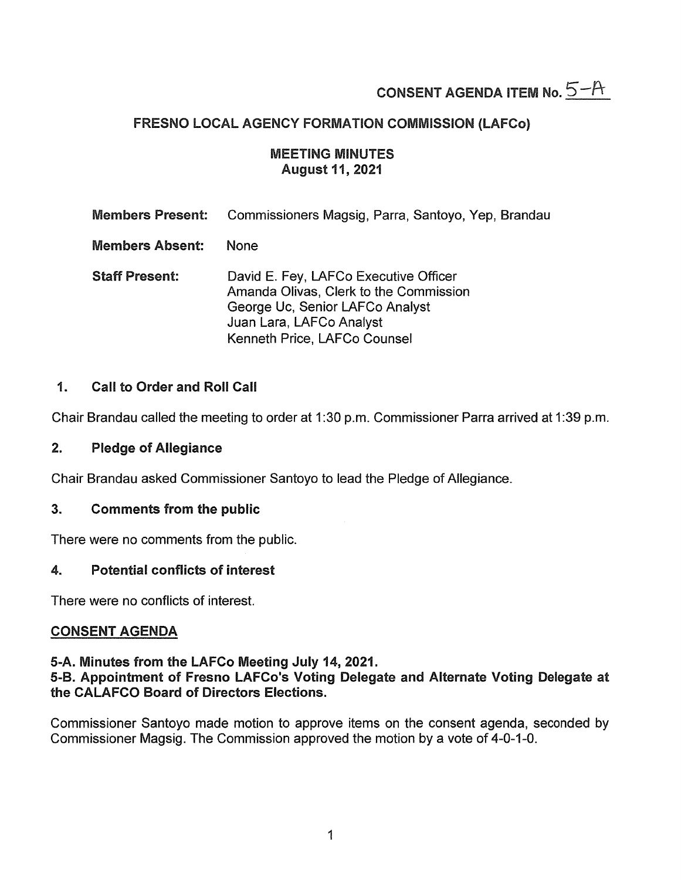# CONSENT AGENDA ITEM No.  $5-A$

# FRESNO LOCAL AGENCY FORMATION COMMISSION (LAFCo)

## MEETING MINUTES August 11, 2021

| <b>Members Present:</b> | Commissioners Magsig, Parra, Santoyo, Yep, Brandau                                                                                                                             |
|-------------------------|--------------------------------------------------------------------------------------------------------------------------------------------------------------------------------|
| <b>Members Absent:</b>  | None                                                                                                                                                                           |
| <b>Staff Present:</b>   | David E. Fey, LAFCo Executive Officer<br>Amanda Olivas, Clerk to the Commission<br>George Uc, Senior LAFCo Analyst<br>Juan Lara, LAFCo Analyst<br>Kenneth Price, LAFCo Counsel |

# 1. Call to Order and Roll Call

Chair Brandau called the meeting to order at 1:30 p.m. Commissioner Parra arrived at 1:39 p.m.

## 2. Pledge of Allegiance

Chair Brandau asked Commissioner Santoyo to lead the Pledge of Allegiance.

## 3. Comments from the public

There were no comments from the public.

## 4. Potential conflicts of interest

There were no conflicts of interest.

## CONSENT AGENDA

## 5-A. Minutes from the LAFCo Meeting July 14, 2021.

## 5-B. Appointment of Fresno LAFCo's Voting Delegate and Alternate Voting Delegate at the CALAFCO Board of Directors Elections.

Commissioner Santoyo made motion to approve items on the consent agenda, seconded by Commissioner Magsig. The Commission approved the motion by a vote of 4-0-1-0.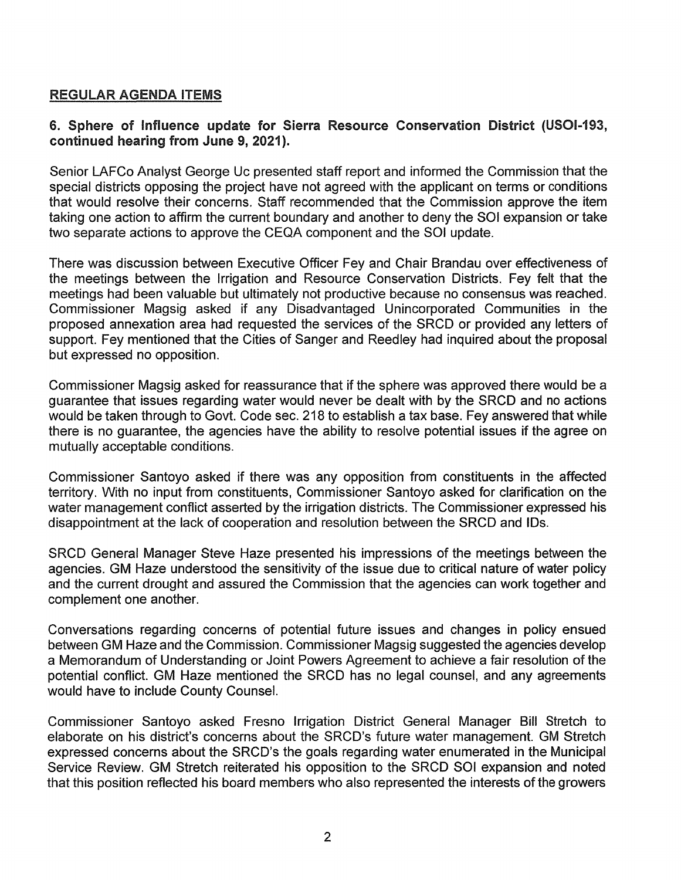# REGULAR AGENDA ITEMS

## 6. Sphere of Influence update for Sierra Resource Conservation District (USOl-193, continued hearing from June 9, 2021 ).

Senior LAFCo Analyst George Uc presented staff report and informed the Commission that the special districts opposing the project have not agreed with the applicant on terms or conditions that would resolve their concerns. Staff recommended that the Commission approve the item taking one action to affirm the current boundary and another to deny the SOI expansion or take two separate actions to approve the CEQA component and the SOI update.

There was discussion between Executive Officer Fey and Chair Brandau over effectiveness of the meetings between the Irrigation and Resource Conservation Districts. Fey felt that the meetings had been valuable but ultimately not productive because no consensus was reached. Commissioner Magsig asked if any Disadvantaged Unincorporated Communities in the proposed annexation area had requested the services of the SRCD or provided any letters of support. Fey mentioned that the Cities of Sanger and Reedley had inquired about the proposal but expressed no opposition.

Commissioner Magsig asked for reassurance that if the sphere was approved there would be a guarantee that issues regarding water would never be dealt with by the SRCD and no actions would be taken through to Govt. Code sec. 218 to establish a tax base. Fey answered that while there is no guarantee, the agencies have the ability to resolve potential issues if the agree on mutually acceptable conditions.

Commissioner Santoyo asked if there was any opposition from constituents in the affected territory. With no input from constituents, Commissioner Santoyo asked for clarification on the water management conflict asserted by the irrigation districts. The Commissioner expressed his disappointment at the lack of cooperation and resolution between the SRCD and IDs.

SRCD General Manager Steve Haze presented his impressions of the meetings between the agencies. GM Haze understood the sensitivity of the issue due to critical nature of water policy and the current drought and assured the Commission that the agencies can work together and complement one another.

Conversations regarding concerns of potential future issues and changes in policy ensued between GM Haze and the Commission. Commissioner Magsig suggested the agencies develop a Memorandum of Understanding or Joint Powers Agreement to achieve a fair resolution of the potential conflict. GM Haze mentioned the SRCD has no legal counsel, and any agreements would have to include County Counsel.

Commissioner Santoyo asked Fresno Irrigation District General Manager Bill Stretch to elaborate on his district's concerns about the SRCD's future water management. GM Stretch expressed concerns about the SRCD's the goals regarding water enumerated in the Municipal Service Review. GM Stretch reiterated his opposition to the SRCD SOI expansion and noted that this position reflected his board members who also represented the interests of the growers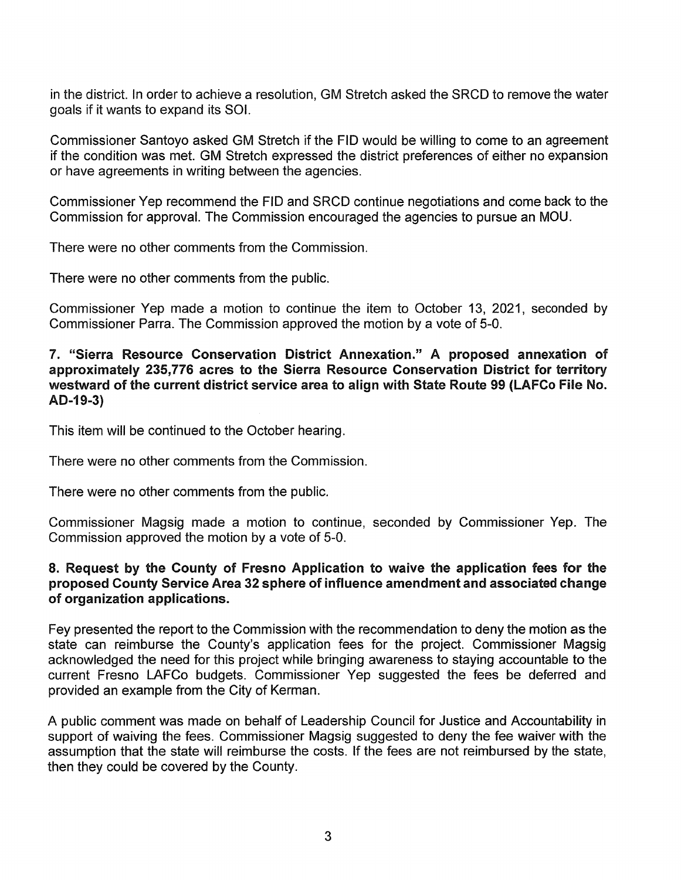in the district. In order to achieve a resolution, GM Stretch asked the SRCD to remove the water goals if it wants to expand its SOI.

Commissioner Santoyo asked GM Stretch if the FID would be willing to come to an agreement if the condition was met. GM Stretch expressed the district preferences of either no expansion or have agreements in writing between the agencies.

Commissioner Yep recommend the FID and SRCD continue negotiations and come back to the Commission for approval. The Commission encouraged the agencies to pursue an MOU.

There were no other comments from the Commission.

There were no other comments from the public.

Commissioner Yep made a motion to continue the item to October 13, 2021, seconded by Commissioner Parra. The Commission approved the motion by a vote of 5-0.

#### 7. "Sierra Resource Conservation District Annexation." A proposed annexation of approximately 235, 776 acres to the Sierra Resource Conservation District for territory westward of the current district service area to align with State Route 99 (lAFCo File No. AD-19-3)

This item will be continued to the October hearing.

There were no other comments from the Commission.

There were no other comments from the public.

Commissioner Magsig made a motion to continue, seconded by Commissioner Yep. The Commission approved the motion by a vote of 5-0.

## 8. Request by the County of Fresno Application to waive the application fees for the proposed County Service Area 32 sphere of influence amendment and associated change of organization applications.

Fey presented the report to the Commission with the recommendation to deny the motion as the state can reimburse the County's application fees for the project. Commissioner Magsig acknowledged the need for this project while bringing awareness to staying accountable to the current Fresno LAFCo budgets. Commissioner Yep suggested the fees be deferred and provided an example from the City of Kerman.

A public comment was made on behalf of Leadership Council for Justice and Accountability in support of waiving the fees. Commissioner Magsig suggested to deny the fee waiver with the assumption that the state will reimburse the costs. If the fees are not reimbursed by the state, then they could be covered by the County.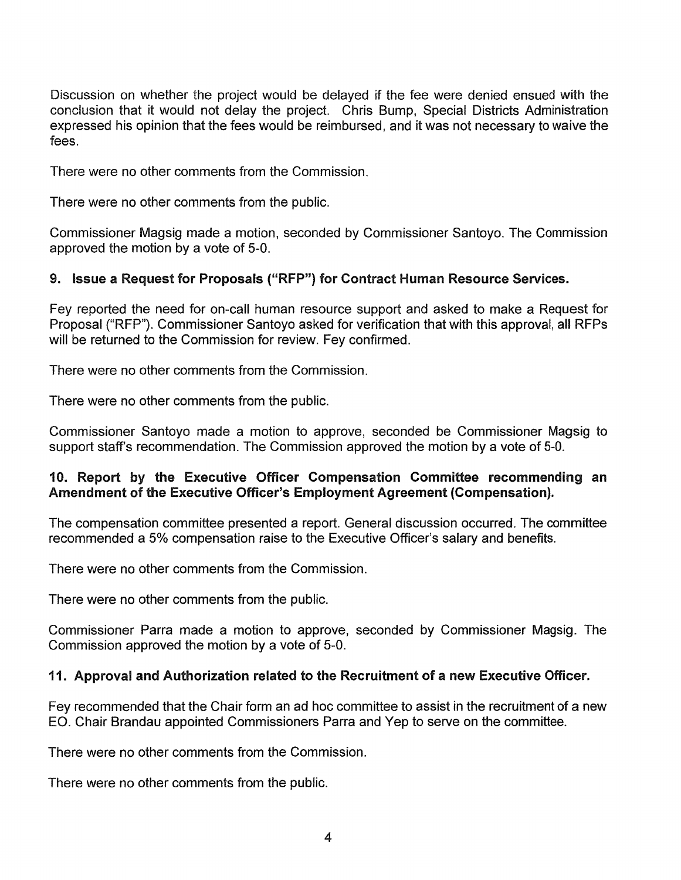Discussion on whether the project would be delayed if the fee were denied ensued with the conclusion that it would not delay the project. Chris Bump, Special Districts Administration expressed his opinion that the fees would be reimbursed, and it was not necessary to waive the fees.

There were no other comments from the Commission.

There were no other comments from the public.

Commissioner Magsig made a motion, seconded by Commissioner Santoyo. The Commission approved the motion by a vote of 5-0.

# 9. Issue a Request for Proposals ("RFP") for Contract Human Resource Services.

Fey reported the need for on-call human resource support and asked to make a Request for Proposal ("RFP"). Commissioner Santoyo asked for verification that with this approval, all RFPs will be returned to the Commission for review. Fey confirmed.

There were no other comments from the Commission.

There were no other comments from the public.

Commissioner Santoyo made a motion to approve, seconded be Commissioner Magsig to support staff's recommendation. The Commission approved the motion by a vote of 5-0.

## 10. Report by the Executive Officer Compensation Committee recommending an Amendment of the Executive Officer's Employment Agreement (Compensation).

The compensation committee presented a report. General discussion occurred. The committee recommended a 5% compensation raise to the Executive Officer's salary and benefits.

There were no other comments from the Commission.

There were no other comments from the public.

Commissioner Parra made a motion to approve, seconded by Commissioner Magsig. The Commission approved the motion by a vote of 5-0.

# 11. Approval and Authorization related to the Recruitment of a new Executive Officer.

Fey recommended that the Chair form an ad hoc committee to assist in the recruitment of a new EO. Chair Brandau appointed Commissioners Parra and Yep to serve on the committee.

There were no other comments from the Commission.

There were no other comments from the public.